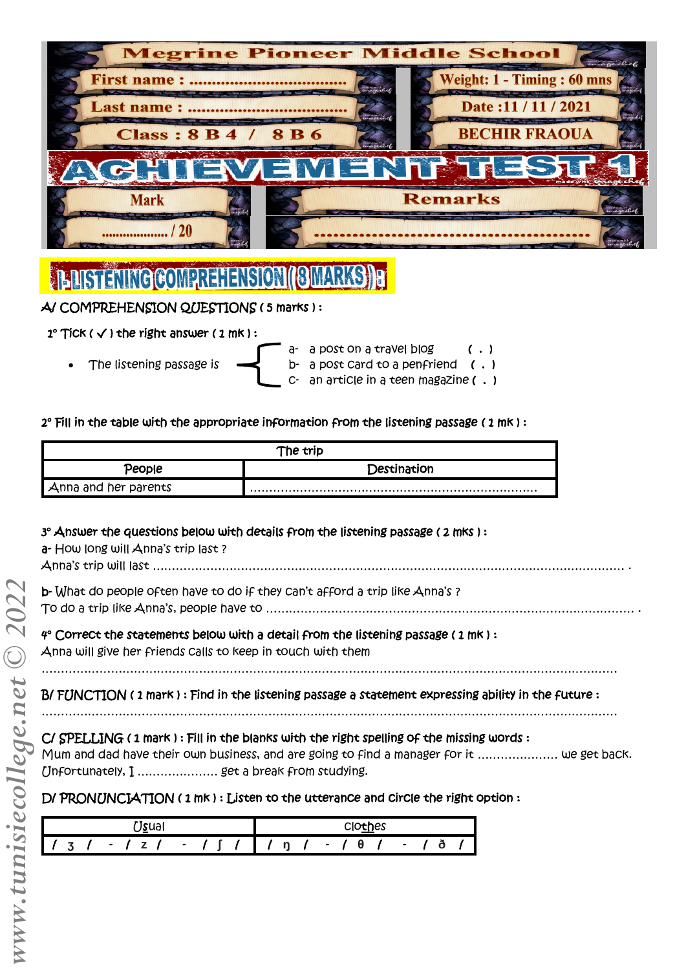

# **TEDISTENING COMPREHENSION (BMARKS) E**

# A/ COMPREHENSION QUESTIONS ( 5 marks ) :

# $1^\circ$  Tick (  $\checkmark$  ) the right answer ( 1 mk ) :

- 
- 
- a- a post on a travel blog (.) The listening passage is  $\rightarrow$  b- a post card to a penfriend  $( \cdot )$ c- an article in a teen magazine ( . )

## 2° Fill in the table with the appropriate information from the listening passage ( 1 mk ) :

| The trip             |             |  |
|----------------------|-------------|--|
| People               | Destination |  |
| Anna and her parents |             |  |

# 3° Answer the questions below with details from the listening passage ( 2 mks ) :

a- How long will Anna's trip last?

Anna's trip will last …………………………………………………………………………………………………………… .

b- What do people often have to do if they can't afford a trip like Anna's ?

To do a trip like Anna's, people have to …………………………………………………………………………………… .

# 4° Correct the statements below with a detail from the listening passage ( 1 mk ) :

Anna will give her friends calls to keep in touch with them

……………………………………………………………………………………………………………………………………

# B/ FUNCTION ( 1 mark ) : Find in the listening passage a statement expressing ability in the future :

……………………………………………………………………………………………………………………………………

# C/ SPELLING ( 1 mark ) : Fill in the blanks with the right spelling of the missing words :

Mum and dad have their own business, and are going to find a manager for it ………………… we get back. Unfortunately, I ………………… get a break from studying.

# D/ PRONUNCIATION ( 1 mk ) : Listen to the utterance and circle the right option :

| <sup>•1</sup> sual                             | Clothes                  |
|------------------------------------------------|--------------------------|
| $\bullet$<br>$\bullet$<br>$\ddot{\phantom{1}}$ | -<br>n<br>$\bullet$<br>o |